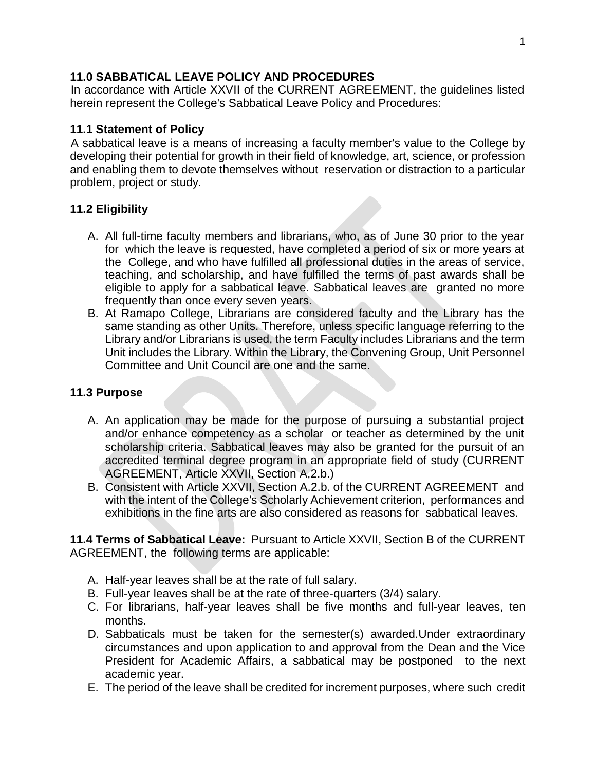### **11.0 SABBATICAL LEAVE POLICY AND PROCEDURES**

In accordance with Article XXVII of the CURRENT AGREEMENT, the guidelines listed herein represent the College's Sabbatical Leave Policy and Procedures:

## **11.1 Statement of Policy**

A sabbatical leave is a means of increasing a faculty member's value to the College by developing their potential for growth in their field of knowledge, art, science, or profession and enabling them to devote themselves without reservation or distraction to a particular problem, project or study.

## **11.2 Eligibility**

- A. All full-time faculty members and librarians, who, as of June 30 prior to the year for which the leave is requested, have completed a period of six or more years at the College, and who have fulfilled all professional duties in the areas of service, teaching, and scholarship, and have fulfilled the terms of past awards shall be eligible to apply for a sabbatical leave. Sabbatical leaves are granted no more frequently than once every seven years.
- B. At Ramapo College, Librarians are considered faculty and the Library has the same standing as other Units. Therefore, unless specific language referring to the Library and/or Librarians is used, the term Faculty includes Librarians and the term Unit includes the Library. Within the Library, the Convening Group, Unit Personnel Committee and Unit Council are one and the same.

## **11.3 Purpose**

- A. An application may be made for the purpose of pursuing a substantial project and/or enhance competency as a scholar or teacher as determined by the unit scholarship criteria. Sabbatical leaves may also be granted for the pursuit of an accredited terminal degree program in an appropriate field of study (CURRENT AGREEMENT, Article XXVII, Section A,2.b.)
- B. Consistent with Article XXVII, Section A.2.b. of the CURRENT AGREEMENT and with the intent of the College's Scholarly Achievement criterion, performances and exhibitions in the fine arts are also considered as reasons for sabbatical leaves.

**11.4 Terms of Sabbatical Leave:** Pursuant to Article XXVII, Section B of the CURRENT AGREEMENT, the following terms are applicable:

- A. Half-year leaves shall be at the rate of full salary.
- B. Full-year leaves shall be at the rate of three-quarters (3/4) salary.
- C. For librarians, half-year leaves shall be five months and full-year leaves, ten months.
- D. Sabbaticals must be taken for the semester(s) awarded.Under extraordinary circumstances and upon application to and approval from the Dean and the Vice President for Academic Affairs, a sabbatical may be postponed to the next academic year.
- E. The period of the leave shall be credited for increment purposes, where such credit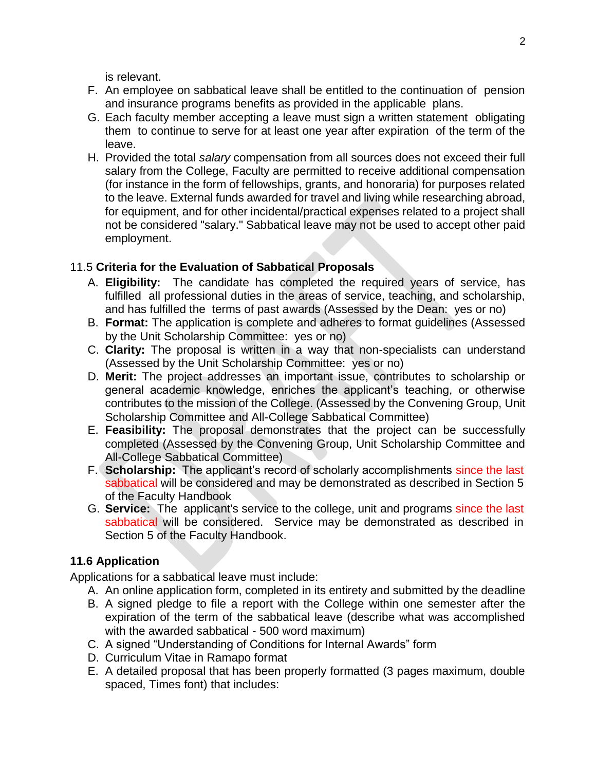is relevant.

- F. An employee on sabbatical leave shall be entitled to the continuation of pension and insurance programs benefits as provided in the applicable plans.
- G. Each faculty member accepting a leave must sign a written statement obligating them to continue to serve for at least one year after expiration of the term of the leave.
- H. Provided the total *salary* compensation from all sources does not exceed their full salary from the College, Faculty are permitted to receive additional compensation (for instance in the form of fellowships, grants, and honoraria) for purposes related to the leave. External funds awarded for travel and living while researching abroad, for equipment, and for other incidental/practical expenses related to a project shall not be considered "salary." Sabbatical leave may not be used to accept other paid employment.

# 11.5 **Criteria for the Evaluation of Sabbatical Proposals**

- A. **Eligibility:** The candidate has completed the required years of service, has fulfilled all professional duties in the areas of service, teaching, and scholarship, and has fulfilled the terms of past awards (Assessed by the Dean: yes or no)
- B. **Format:** The application is complete and adheres to format guidelines (Assessed by the Unit Scholarship Committee: yes or no)
- C. **Clarity:** The proposal is written in a way that non-specialists can understand (Assessed by the Unit Scholarship Committee: yes or no)
- D. **Merit:** The project addresses an important issue, contributes to scholarship or general academic knowledge, enriches the applicant's teaching, or otherwise contributes to the mission of the College. (Assessed by the Convening Group, Unit Scholarship Committee and All-College Sabbatical Committee)
- E. **Feasibility:** The proposal demonstrates that the project can be successfully completed (Assessed by the Convening Group, Unit Scholarship Committee and All-College Sabbatical Committee)
- F. **Scholarship:** The applicant's record of scholarly accomplishments since the last sabbatical will be considered and may be demonstrated as described in Section 5 of the Faculty Handbook
- G. **Service:** The applicant's service to the college, unit and programs since the last sabbatical will be considered. Service may be demonstrated as described in Section 5 of the Faculty Handbook.

# **11.6 Application**

Applications for a sabbatical leave must include:

- A. An online application form, completed in its entirety and submitted by the deadline
- B. A signed pledge to file a report with the College within one semester after the expiration of the term of the sabbatical leave (describe what was accomplished with the awarded sabbatical - 500 word maximum)
- C. A signed "Understanding of Conditions for Internal Awards" form
- D. Curriculum Vitae in Ramapo format
- E. A detailed proposal that has been properly formatted (3 pages maximum, double spaced, Times font) that includes: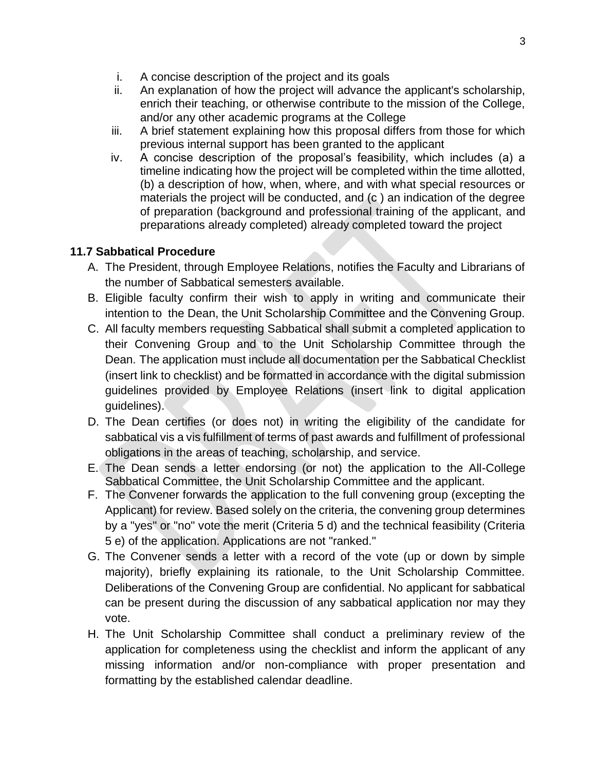- i. A concise description of the project and its goals
- ii. An explanation of how the project will advance the applicant's scholarship, enrich their teaching, or otherwise contribute to the mission of the College, and/or any other academic programs at the College
- iii. A brief statement explaining how this proposal differs from those for which previous internal support has been granted to the applicant
- iv. A concise description of the proposal's feasibility, which includes (a) a timeline indicating how the project will be completed within the time allotted, (b) a description of how, when, where, and with what special resources or materials the project will be conducted, and (c ) an indication of the degree of preparation (background and professional training of the applicant, and preparations already completed) already completed toward the project

# **11.7 Sabbatical Procedure**

- A. The President, through Employee Relations, notifies the Faculty and Librarians of the number of Sabbatical semesters available.
- B. Eligible faculty confirm their wish to apply in writing and communicate their intention to the Dean, the Unit Scholarship Committee and the Convening Group.
- C. All faculty members requesting Sabbatical shall submit a completed application to their Convening Group and to the Unit Scholarship Committee through the Dean. The application must include all documentation per the Sabbatical Checklist (insert link to checklist) and be formatted in accordance with the digital submission guidelines provided by Employee Relations (insert link to digital application guidelines).
- D. The Dean certifies (or does not) in writing the eligibility of the candidate for sabbatical vis a vis fulfillment of terms of past awards and fulfillment of professional obligations in the areas of teaching, scholarship, and service.
- E. The Dean sends a letter endorsing (or not) the application to the All-College Sabbatical Committee, the Unit Scholarship Committee and the applicant.
- F. The Convener forwards the application to the full convening group (excepting the Applicant) for review. Based solely on the criteria, the convening group determines by a "yes" or "no" vote the merit (Criteria 5 d) and the technical feasibility (Criteria 5 e) of the application. Applications are not "ranked."
- G. The Convener sends a letter with a record of the vote (up or down by simple majority), briefly explaining its rationale, to the Unit Scholarship Committee. Deliberations of the Convening Group are confidential. No applicant for sabbatical can be present during the discussion of any sabbatical application nor may they vote.
- H. The Unit Scholarship Committee shall conduct a preliminary review of the application for completeness using the checklist and inform the applicant of any missing information and/or non-compliance with proper presentation and formatting by the established calendar deadline.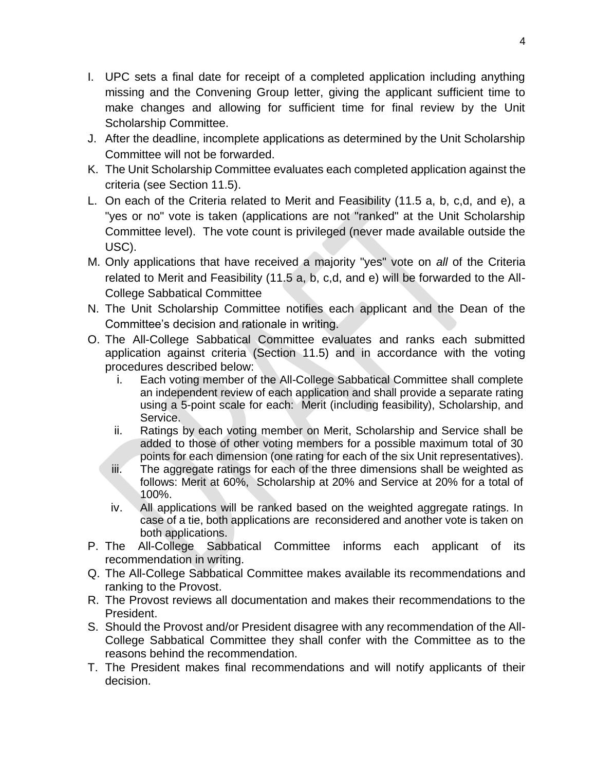- I. UPC sets a final date for receipt of a completed application including anything missing and the Convening Group letter, giving the applicant sufficient time to make changes and allowing for sufficient time for final review by the Unit Scholarship Committee.
- J. After the deadline, incomplete applications as determined by the Unit Scholarship Committee will not be forwarded.
- K. The Unit Scholarship Committee evaluates each completed application against the criteria (see Section 11.5).
- L. On each of the Criteria related to Merit and Feasibility (11.5 a, b, c,d, and e), a "yes or no" vote is taken (applications are not "ranked" at the Unit Scholarship Committee level). The vote count is privileged (never made available outside the USC).
- M. Only applications that have received a majority "yes" vote on *all* of the Criteria related to Merit and Feasibility (11.5 a, b, c,d, and e) will be forwarded to the All-College Sabbatical Committee
- N. The Unit Scholarship Committee notifies each applicant and the Dean of the Committee's decision and rationale in writing.
- O. The All-College Sabbatical Committee evaluates and ranks each submitted application against criteria (Section 11.5) and in accordance with the voting procedures described below:
	- i. Each voting member of the All-College Sabbatical Committee shall complete an independent review of each application and shall provide a separate rating using a 5-point scale for each: Merit (including feasibility), Scholarship, and Service.
	- ii. Ratings by each voting member on Merit, Scholarship and Service shall be added to those of other voting members for a possible maximum total of 30 points for each dimension (one rating for each of the six Unit representatives).
	- iii. The aggregate ratings for each of the three dimensions shall be weighted as follows: Merit at 60%, Scholarship at 20% and Service at 20% for a total of 100%.
	- iv. All applications will be ranked based on the weighted aggregate ratings. In case of a tie, both applications are reconsidered and another vote is taken on both applications.
- P. The All-College Sabbatical Committee informs each applicant of its recommendation in writing.
- Q. The All-College Sabbatical Committee makes available its recommendations and ranking to the Provost.
- R. The Provost reviews all documentation and makes their recommendations to the President.
- S. Should the Provost and/or President disagree with any recommendation of the All-College Sabbatical Committee they shall confer with the Committee as to the reasons behind the recommendation.
- T. The President makes final recommendations and will notify applicants of their decision.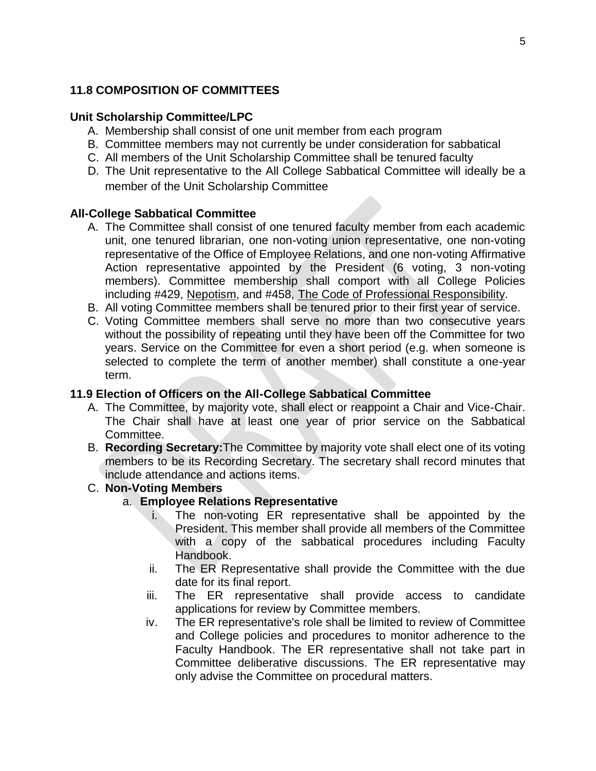## **11.8 COMPOSITION OF COMMITTEES**

#### **Unit Scholarship Committee/LPC**

- A. Membership shall consist of one unit member from each program
- B. Committee members may not currently be under consideration for sabbatical
- C. All members of the Unit Scholarship Committee shall be tenured faculty
- D. The Unit representative to the All College Sabbatical Committee will ideally be a member of the Unit Scholarship Committee

### **All-College Sabbatical Committee**

- A. The Committee shall consist of one tenured faculty member from each academic unit, one tenured librarian, one non-voting union representative, one non-voting representative of the Office of Employee Relations, and one non-voting Affirmative Action representative appointed by the President (6 voting, 3 non-voting members). Committee membership shall comport with all College Policies including #429, Nepotism, and #458, The Code of Professional Responsibility.
- B. All voting Committee members shall be tenured prior to their first year of service.
- C. Voting Committee members shall serve no more than two consecutive years without the possibility of repeating until they have been off the Committee for two years. Service on the Committee for even a short period (e.g. when someone is selected to complete the term of another member) shall constitute a one-year term.

### **11.9 Election of Officers on the All-College Sabbatical Committee**

- A. The Committee, by majority vote, shall elect or reappoint a Chair and Vice-Chair. The Chair shall have at least one year of prior service on the Sabbatical Committee.
- B. **Recording Secretary:**The Committee by majority vote shall elect one of its voting members to be its Recording Secretary. The secretary shall record minutes that include attendance and actions items.

### C. **Non-Voting Members**

### a. **Employee Relations Representative**

- i. The non-voting ER representative shall be appointed by the President. This member shall provide all members of the Committee with a copy of the sabbatical procedures including Faculty Handbook.
- ii. The ER Representative shall provide the Committee with the due date for its final report.
- iii. The ER representative shall provide access to candidate applications for review by Committee members.
- iv. The ER representative's role shall be limited to review of Committee and College policies and procedures to monitor adherence to the Faculty Handbook. The ER representative shall not take part in Committee deliberative discussions. The ER representative may only advise the Committee on procedural matters.